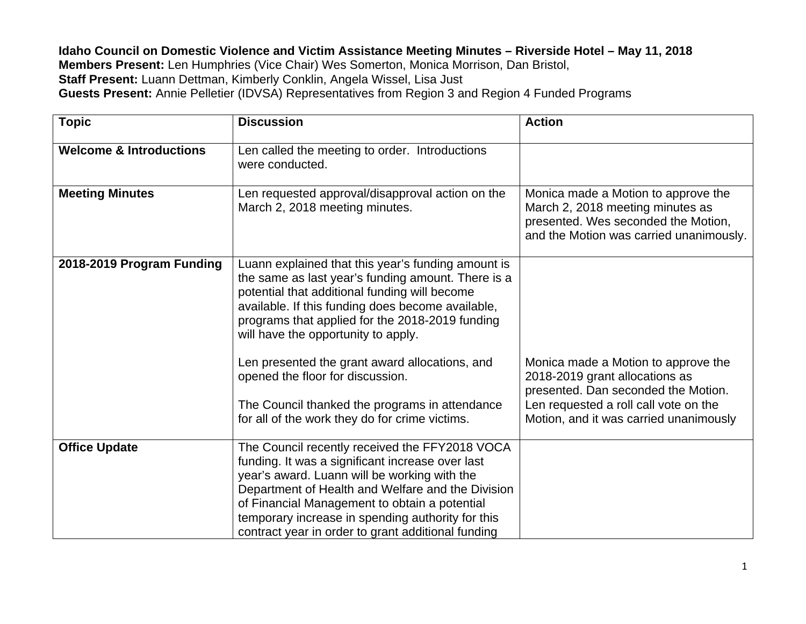**Idaho Council on Domestic Violence and Victim Assistance Meeting Minutes – Riverside Hotel – May 11, 2018 Members Present:** Len Humphries (Vice Chair) Wes Somerton, Monica Morrison, Dan Bristol, **Staff Present:** Luann Dettman, Kimberly Conklin, Angela Wissel, Lisa Just **Guests Present:** Annie Pelletier (IDVSA) Representatives from Region 3 and Region 4 Funded Programs

| <b>Topic</b>                       | <b>Discussion</b>                                                                                                                                                                                                                                                                                                                                                   | <b>Action</b>                                                                                                                                                                                   |
|------------------------------------|---------------------------------------------------------------------------------------------------------------------------------------------------------------------------------------------------------------------------------------------------------------------------------------------------------------------------------------------------------------------|-------------------------------------------------------------------------------------------------------------------------------------------------------------------------------------------------|
| <b>Welcome &amp; Introductions</b> | Len called the meeting to order. Introductions<br>were conducted.                                                                                                                                                                                                                                                                                                   |                                                                                                                                                                                                 |
| <b>Meeting Minutes</b>             | Len requested approval/disapproval action on the<br>March 2, 2018 meeting minutes.                                                                                                                                                                                                                                                                                  | Monica made a Motion to approve the<br>March 2, 2018 meeting minutes as<br>presented. Wes seconded the Motion,<br>and the Motion was carried unanimously.                                       |
| 2018-2019 Program Funding          | Luann explained that this year's funding amount is<br>the same as last year's funding amount. There is a<br>potential that additional funding will become<br>available. If this funding does become available,<br>programs that applied for the 2018-2019 funding<br>will have the opportunity to apply.                                                            |                                                                                                                                                                                                 |
|                                    | Len presented the grant award allocations, and<br>opened the floor for discussion.<br>The Council thanked the programs in attendance<br>for all of the work they do for crime victims.                                                                                                                                                                              | Monica made a Motion to approve the<br>2018-2019 grant allocations as<br>presented. Dan seconded the Motion.<br>Len requested a roll call vote on the<br>Motion, and it was carried unanimously |
| <b>Office Update</b>               | The Council recently received the FFY2018 VOCA<br>funding. It was a significant increase over last<br>year's award. Luann will be working with the<br>Department of Health and Welfare and the Division<br>of Financial Management to obtain a potential<br>temporary increase in spending authority for this<br>contract year in order to grant additional funding |                                                                                                                                                                                                 |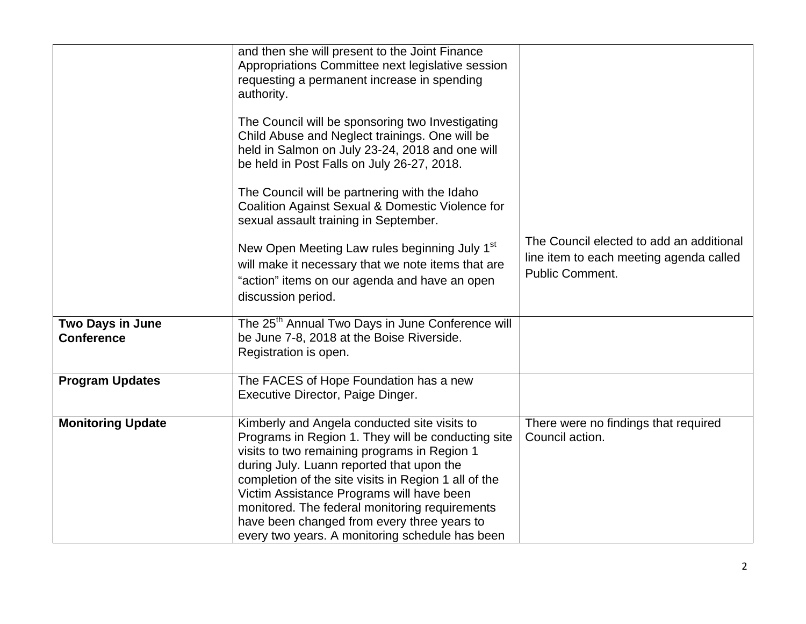|                                              | and then she will present to the Joint Finance<br>Appropriations Committee next legislative session<br>requesting a permanent increase in spending<br>authority.                                                                                                                                                                                                                                                                                         |                                                                                                               |
|----------------------------------------------|----------------------------------------------------------------------------------------------------------------------------------------------------------------------------------------------------------------------------------------------------------------------------------------------------------------------------------------------------------------------------------------------------------------------------------------------------------|---------------------------------------------------------------------------------------------------------------|
|                                              | The Council will be sponsoring two Investigating<br>Child Abuse and Neglect trainings. One will be<br>held in Salmon on July 23-24, 2018 and one will<br>be held in Post Falls on July 26-27, 2018.                                                                                                                                                                                                                                                      |                                                                                                               |
|                                              | The Council will be partnering with the Idaho<br>Coalition Against Sexual & Domestic Violence for<br>sexual assault training in September.                                                                                                                                                                                                                                                                                                               |                                                                                                               |
|                                              | New Open Meeting Law rules beginning July 1 <sup>st</sup><br>will make it necessary that we note items that are<br>"action" items on our agenda and have an open<br>discussion period.                                                                                                                                                                                                                                                                   | The Council elected to add an additional<br>line item to each meeting agenda called<br><b>Public Comment.</b> |
| <b>Two Days in June</b><br><b>Conference</b> | The 25 <sup>th</sup> Annual Two Days in June Conference will<br>be June 7-8, 2018 at the Boise Riverside.<br>Registration is open.                                                                                                                                                                                                                                                                                                                       |                                                                                                               |
| <b>Program Updates</b>                       | The FACES of Hope Foundation has a new<br>Executive Director, Paige Dinger.                                                                                                                                                                                                                                                                                                                                                                              |                                                                                                               |
| <b>Monitoring Update</b>                     | Kimberly and Angela conducted site visits to<br>Programs in Region 1. They will be conducting site<br>visits to two remaining programs in Region 1<br>during July. Luann reported that upon the<br>completion of the site visits in Region 1 all of the<br>Victim Assistance Programs will have been<br>monitored. The federal monitoring requirements<br>have been changed from every three years to<br>every two years. A monitoring schedule has been | There were no findings that required<br>Council action.                                                       |